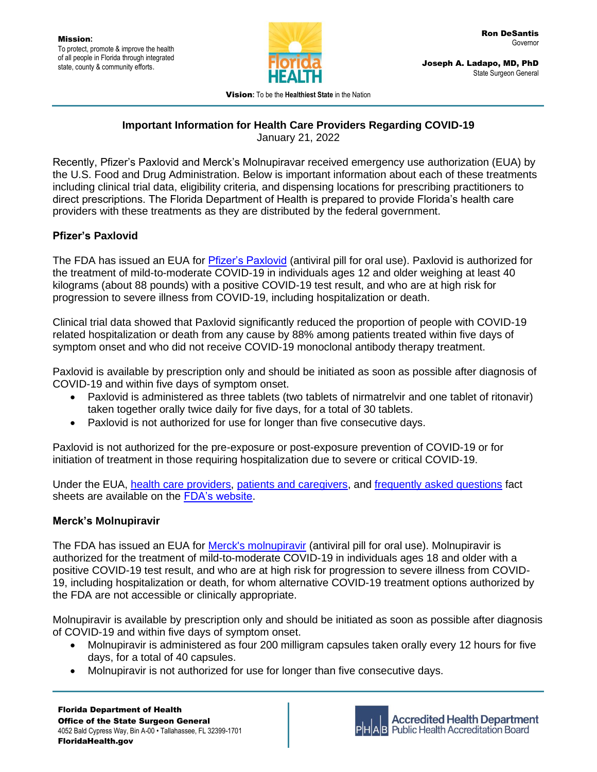

Joseph A. Ladapo, MD, PhD State Surgeon General

Vision**:** To be the **Healthiest State** in the Nation

# **Important Information for Health Care Providers Regarding COVID-19**

January 21, 2022

Recently, Pfizer's Paxlovid and Merck's Molnupiravar received emergency use authorization (EUA) by the U.S. Food and Drug Administration. Below is important information about each of these treatments including clinical trial data, eligibility criteria, and dispensing locations for prescribing practitioners to direct prescriptions. The Florida Department of Health is prepared to provide Florida's health care providers with these treatments as they are distributed by the federal government.

## **Pfizer's Paxlovid**

The FDA has issued an EUA for *Pfizer's Paxlovid* (antiviral pill for oral use). Paxlovid is authorized for the treatment of mild-to-moderate COVID-19 in individuals ages 12 and older weighing at least 40 kilograms (about 88 pounds) with a positive COVID-19 test result, and who are at high risk for progression to severe illness from COVID-19, including hospitalization or death.

Clinical trial data showed that Paxlovid significantly reduced the proportion of people with COVID-19 related hospitalization or death from any cause by 88% among patients treated within five days of symptom onset and who did not receive COVID-19 monoclonal antibody therapy treatment.

Paxlovid is available by prescription only and should be initiated as soon as possible after diagnosis of COVID-19 and within five days of symptom onset.

- Paxlovid is administered as three tablets (two tablets of nirmatrelvir and one tablet of ritonavir) taken together orally twice daily for five days, for a total of 30 tablets.
- Paxlovid is not authorized for use for longer than five consecutive days.

Paxlovid is not authorized for the pre-exposure or post-exposure prevention of COVID-19 or for initiation of treatment in those requiring hospitalization due to severe or critical COVID-19.

Under the EUA, [health care providers,](https://www.fda.gov/media/155050/download) [patients and caregivers,](https://www.fda.gov/media/155051/download) and [frequently asked questions](https://www.fda.gov/media/155052/download) fact sheets are available on the [FDA's website.](https://www.fda.gov/emergency-preparedness-and-response/mcm-legal-regulatory-and-policy-framework/emergency-use-authorization#coviddrugs)

### **Merck's Molnupiravir**

The FDA has issued an EUA for [Merck's molnupiravir](https://www.fda.gov/news-events/press-announcements/coronavirus-covid-19-update-fda-authorizes-additional-oral-antiviral-treatment-covid-19-certain) (antiviral pill for oral use). Molnupiravir is authorized for the treatment of mild-to-moderate COVID-19 in individuals ages 18 and older with a positive COVID-19 test result, and who are at high risk for progression to severe illness from COVID-19, including hospitalization or death, for whom alternative COVID-19 treatment options authorized by the FDA are not accessible or clinically appropriate.

Molnupiravir is available by prescription only and should be initiated as soon as possible after diagnosis of COVID-19 and within five days of symptom onset.

- Molnupiravir is administered as four 200 milligram capsules taken orally every 12 hours for five days, for a total of 40 capsules.
- Molnupiravir is not authorized for use for longer than five consecutive days.

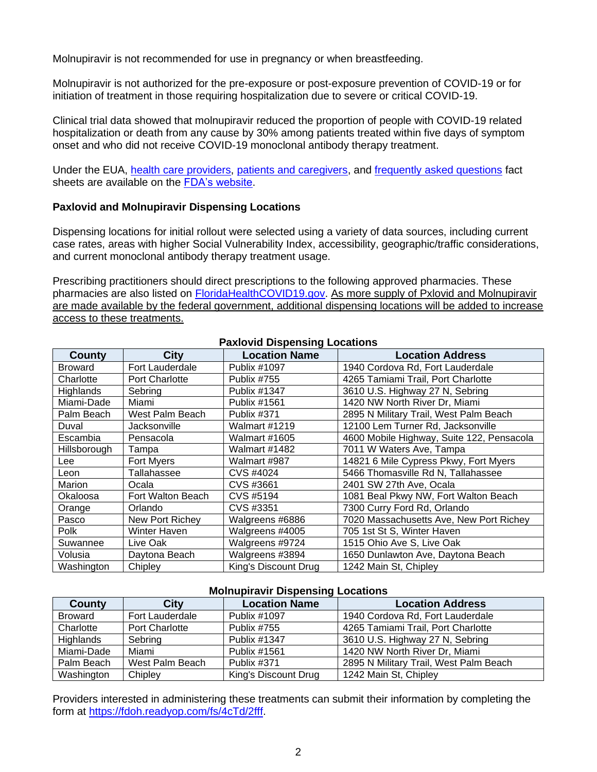Molnupiravir is not recommended for use in pregnancy or when breastfeeding.

Molnupiravir is not authorized for the pre-exposure or post-exposure prevention of COVID-19 or for initiation of treatment in those requiring hospitalization due to severe or critical COVID-19.

Clinical trial data showed that molnupiravir reduced the proportion of people with COVID-19 related hospitalization or death from any cause by 30% among patients treated within five days of symptom onset and who did not receive COVID-19 monoclonal antibody therapy treatment.

Under the EUA, [health care providers,](https://www.fda.gov/media/155054/download) [patients and caregivers,](https://www.fda.gov/media/155055/download) and [frequently asked questions](https://www.fda.gov/media/155056/download) fact sheets are available on the [FDA's website.](https://www.fda.gov/emergency-preparedness-and-response/mcm-legal-regulatory-and-policy-framework/emergency-use-authorization#coviddrugs)

#### **Paxlovid and Molnupiravir Dispensing Locations**

Dispensing locations for initial rollout were selected using a variety of data sources, including current case rates, areas with higher Social Vulnerability Index, accessibility, geographic/traffic considerations, and current monoclonal antibody therapy treatment usage.

Prescribing practitioners should direct prescriptions to the following approved pharmacies. These pharmacies are also listed on [FloridaHealthCOVID19.gov.](http://www.floridahealthcovid19.gov/) As more supply of Pxlovid and Molnupiravir are made available by the federal government, additional dispensing locations will be added to increase access to these treatments.

| <b>FAXIOVID DISPETISING LOCATIONS</b> |                       |                      |                                           |  |
|---------------------------------------|-----------------------|----------------------|-------------------------------------------|--|
| County                                | <b>City</b>           | <b>Location Name</b> | <b>Location Address</b>                   |  |
| <b>Broward</b>                        | Fort Lauderdale       | Publix #1097         | 1940 Cordova Rd, Fort Lauderdale          |  |
| Charlotte                             | <b>Port Charlotte</b> | Publix #755          | 4265 Tamiami Trail, Port Charlotte        |  |
| <b>Highlands</b>                      | Sebring               | <b>Publix #1347</b>  | 3610 U.S. Highway 27 N, Sebring           |  |
| Miami-Dade                            | Miami                 | Publix #1561         | 1420 NW North River Dr, Miami             |  |
| Palm Beach                            | West Palm Beach       | Publix #371          | 2895 N Military Trail, West Palm Beach    |  |
| Duval                                 | Jacksonville          | <b>Walmart #1219</b> | 12100 Lem Turner Rd, Jacksonville         |  |
| Escambia                              | Pensacola             | <b>Walmart #1605</b> | 4600 Mobile Highway, Suite 122, Pensacola |  |
| Hillsborough                          | Tampa                 | Walmart #1482        | 7011 W Waters Ave, Tampa                  |  |
| Lee                                   | Fort Myers            | Walmart #987         | 14821 6 Mile Cypress Pkwy, Fort Myers     |  |
| Leon                                  | Tallahassee           | CVS #4024            | 5466 Thomasville Rd N, Tallahassee        |  |
| Marion                                | Ocala                 | CVS #3661            | 2401 SW 27th Ave, Ocala                   |  |
| Okaloosa                              | Fort Walton Beach     | CVS #5194            | 1081 Beal Pkwy NW, Fort Walton Beach      |  |
| Orange                                | Orlando               | CVS #3351            | 7300 Curry Ford Rd, Orlando               |  |
| Pasco                                 | New Port Richey       | Walgreens #6886      | 7020 Massachusetts Ave, New Port Richey   |  |
| Polk                                  | Winter Haven          | Walgreens #4005      | 705 1st St S, Winter Haven                |  |
| Suwannee                              | Live Oak              | Walgreens #9724      | 1515 Ohio Ave S, Live Oak                 |  |
| Volusia                               | Daytona Beach         | Walgreens #3894      | 1650 Dunlawton Ave, Daytona Beach         |  |
| Washington                            | Chipley               | King's Discount Drug | 1242 Main St, Chipley                     |  |

#### **Paxlovid Dispensing Locations**

#### **Molnupiravir Dispensing Locations**

| County         | City            | <b>Location Name</b> | <b>Location Address</b>                |
|----------------|-----------------|----------------------|----------------------------------------|
| <b>Broward</b> | Fort Lauderdale | <b>Publix #1097</b>  | 1940 Cordova Rd, Fort Lauderdale       |
| Charlotte      | Port Charlotte  | Publix #755          | 4265 Tamiami Trail, Port Charlotte     |
| Highlands      | Sebring         | Publix #1347         | 3610 U.S. Highway 27 N, Sebring        |
| Miami-Dade     | Miami           | Publix #1561         | 1420 NW North River Dr, Miami          |
| Palm Beach     | West Palm Beach | Publix #371          | 2895 N Military Trail, West Palm Beach |
| Washington     | Chipley         | King's Discount Drug | 1242 Main St, Chipley                  |

Providers interested in administering these treatments can submit their information by completing the form at [https://fdoh.readyop.com/fs/4cTd/2fff.](https://fdoh.readyop.com/fs/4cTd/2fff)